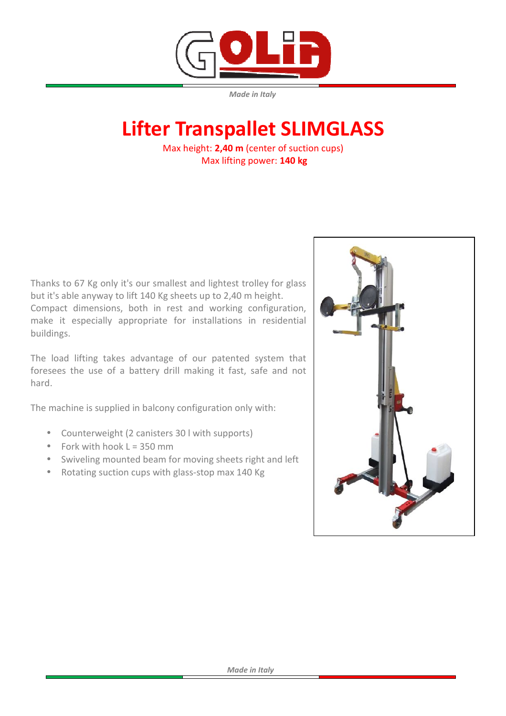

*Made in Italy* 

# **Lifter Transpallet SLIMGLASS**

Max height: **2,40 m** (center of suction cups) Max lifting power: **140 kg** 

Thanks to 67 Kg only it's our smallest and lightest trolley for glass but it's able anyway to lift 140 Kg sheets up to 2,40 m height. Compact dimensions, both in rest and working configuration, make it especially appropriate for installations in residential buildings.

The load lifting takes advantage of our patented system that foresees the use of a battery drill making it fast, safe and not hard.

The machine is supplied in balcony configuration only with:

- Counterweight (2 canisters 30 l with supports)
- Fork with hook  $L = 350$  mm
- Swiveling mounted beam for moving sheets right and left
- Rotating suction cups with glass-stop max 140 Kg

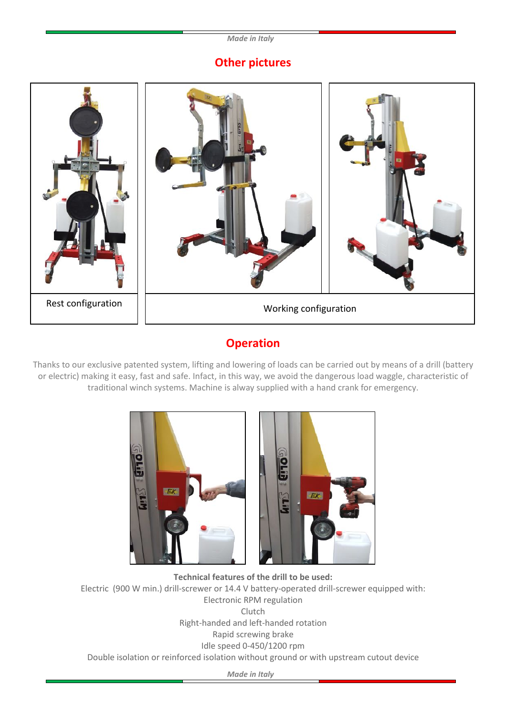#### *Made in Italy*

## **Other pictures**



## **Operation**

Thanks to our exclusive patented system, lifting and lowering of loads can be carried out by means of a drill (battery or electric) making it easy, fast and safe. Infact, in this way, we avoid the dangerous load waggle, characteristic of traditional winch systems. Machine is alway supplied with a hand crank for emergency.





**Technical features of the drill to be used:** Electric (900 W min.) drill-screwer or 14.4 V battery-operated drill-screwer equipped with: Electronic RPM regulation Clutch Right-handed and left-handed rotation Rapid screwing brake Idle speed 0-450/1200 rpm Double isolation or reinforced isolation without ground or with upstream cutout device

*Made in Italy*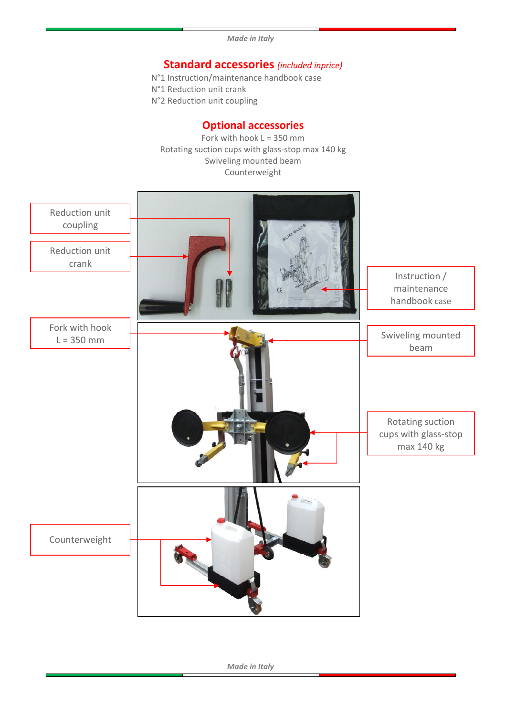*Made in Italy*

### **Standard accessories** *(included inprice)*

- N°1 Instruction/maintenance handbook case
- N°1 Reduction unit crank
- N°2 Reduction unit coupling

#### **Optional accessories**

Fork with hook  $L = 350$  mm Rotating suction cups with glass-stop max 140 kg Swiveling mounted beam Counterweight



*Made in Italy*